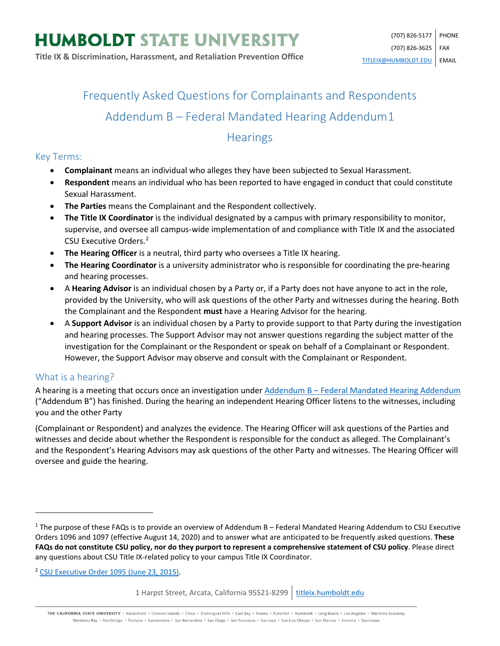# Frequently Asked Questions for Complainants and Respondents Addendum B – Federal Mandated Hearing Addendum[1](#page-0-0)

# **Hearings**

#### Key Terms:

- **Complainant** means an individual who alleges they have been subjected to Sexual Harassment.
- **Respondent** means an individual who has been reported to have engaged in conduct that could constitute Sexual Harassment.
- **The Parties** means the Complainant and the Respondent collectively.
- **The Title IX Coordinator** is the individual designated by a campus with primary responsibility to monitor, supervise, and oversee all campus-wide implementation of and compliance with Title IX and the associated CSU Executive Orders.[2](#page-0-1)
- **The Hearing Officer** is a neutral, third party who oversees a Title IX hearing.
- **The Hearing Coordinator** is a university administrator who is responsible for coordinating the pre-hearing and hearing processes.
- A **Hearing Advisor** is an individual chosen by a Party or, if a Party does not have anyone to act in the role, provided by the University, who will ask questions of the other Party and witnesses during the hearing. Both the Complainant and the Respondent **must** have a Hearing Advisor for the hearing.
- A **Support Advisor** is an individual chosen by a Party to provide support to that Party during the investigation and hearing processes. The Support Advisor may not answer questions regarding the subject matter of the investigation for the Complainant or the Respondent or speak on behalf of a Complainant or Respondent. However, the Support Advisor may observe and consult with the Complainant or Respondent.

## What is a hearing?

 $\overline{\phantom{a}}$ 

A hearing is a meeting that occurs once an investigation under Addendum B - [Federal Mandated Hearing Addendum](https://calstate.policystat.com/policy/8453516/latest/#autoid-b4kb9) ("Addendum B") has finished. During the hearing an independent Hearing Officer listens to the witnesses, including you and the other Party

(Complainant or Respondent) and analyzes the evidence. The Hearing Officer will ask questions of the Parties and witnesses and decide about whether the Respondent is responsible for the conduct as alleged. The Complainant's and the Respondent's Hearing Advisors may ask questions of the other Party and witnesses. The Hearing Officer will oversee and guide the hearing.

<span id="page-0-1"></span><sup>2</sup> [CSU Executive Order 1095 \(June 23, 2015\).](https://calstate.policystat.com/policy/6741651/latest/)

THE CALIFORNIA STATE UNIVERSITY · Bakersfield · Channel Islands · Chico · Dominguez Hills · East Bay · Fresno · Fullerton · Humboldt · Long Beach · Los Angeles · Maritime Academy Monterey Bay . Northridge . Pomona . Sacramento . San Bernardino . San Diego . San Francisco . San Jose . San Luis Obispo . San Marcos . Sonoma . Stanislaus

<span id="page-0-0"></span> $1$  The purpose of these FAQs is to provide an overview of Addendum B – Federal Mandated Hearing Addendum to CSU Executive Orders 1096 and 1097 (effective August 14, 2020) and to answer what are anticipated to be frequently asked questions. **These FAQs do not constitute CSU policy, nor do they purport to represent a comprehensive statement of CSU policy**. Please direct any questions about CSU Title IX-related policy to your campus Title IX Coordinator.

<sup>1</sup> Harpst Street, Arcata, California 95521-8299 | [titleix.humboldt.edu](https://titleix.humboldt.edu/)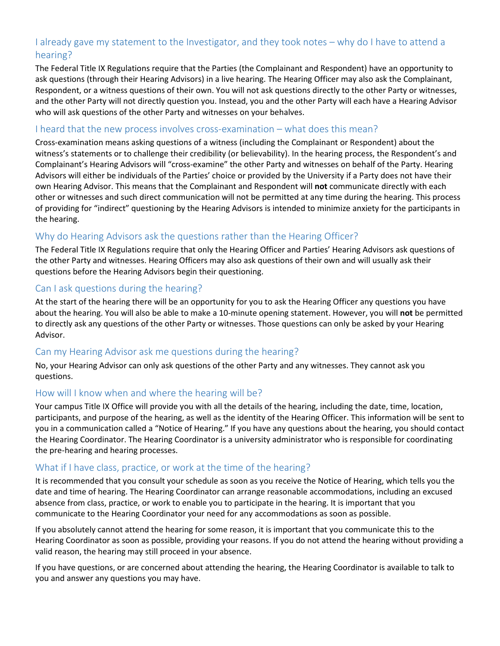## I already gave my statement to the Investigator, and they took notes – why do I have to attend a hearing?

The Federal Title IX Regulations require that the Parties (the Complainant and Respondent) have an opportunity to ask questions (through their Hearing Advisors) in a live hearing. The Hearing Officer may also ask the Complainant, Respondent, or a witness questions of their own. You will not ask questions directly to the other Party or witnesses, and the other Party will not directly question you. Instead, you and the other Party will each have a Hearing Advisor who will ask questions of the other Party and witnesses on your behalves.

#### I heard that the new process involves cross-examination – what does this mean?

Cross-examination means asking questions of a witness (including the Complainant or Respondent) about the witness's statements or to challenge their credibility (or believability). In the hearing process, the Respondent's and Complainant's Hearing Advisors will "cross-examine" the other Party and witnesses on behalf of the Party. Hearing Advisors will either be individuals of the Parties' choice or provided by the University if a Party does not have their own Hearing Advisor. This means that the Complainant and Respondent will **not** communicate directly with each other or witnesses and such direct communication will not be permitted at any time during the hearing. This process of providing for "indirect" questioning by the Hearing Advisors is intended to minimize anxiety for the participants in the hearing.

#### Why do Hearing Advisors ask the questions rather than the Hearing Officer?

The Federal Title IX Regulations require that only the Hearing Officer and Parties' Hearing Advisors ask questions of the other Party and witnesses. Hearing Officers may also ask questions of their own and will usually ask their questions before the Hearing Advisors begin their questioning.

#### Can I ask questions during the hearing?

At the start of the hearing there will be an opportunity for you to ask the Hearing Officer any questions you have about the hearing. You will also be able to make a 10-minute opening statement. However, you will **not** be permitted to directly ask any questions of the other Party or witnesses. Those questions can only be asked by your Hearing Advisor.

#### Can my Hearing Advisor ask me questions during the hearing?

No, your Hearing Advisor can only ask questions of the other Party and any witnesses. They cannot ask you questions.

#### How will I know when and where the hearing will be?

Your campus Title IX Office will provide you with all the details of the hearing, including the date, time, location, participants, and purpose of the hearing, as well as the identity of the Hearing Officer. This information will be sent to you in a communication called a "Notice of Hearing." If you have any questions about the hearing, you should contact the Hearing Coordinator. The Hearing Coordinator is a university administrator who is responsible for coordinating the pre-hearing and hearing processes.

#### What if I have class, practice, or work at the time of the hearing?

It is recommended that you consult your schedule as soon as you receive the Notice of Hearing, which tells you the date and time of hearing. The Hearing Coordinator can arrange reasonable accommodations, including an excused absence from class, practice, or work to enable you to participate in the hearing. It is important that you communicate to the Hearing Coordinator your need for any accommodations as soon as possible.

If you absolutely cannot attend the hearing for some reason, it is important that you communicate this to the Hearing Coordinator as soon as possible, providing your reasons. If you do not attend the hearing without providing a valid reason, the hearing may still proceed in your absence.

If you have questions, or are concerned about attending the hearing, the Hearing Coordinator is available to talk to you and answer any questions you may have.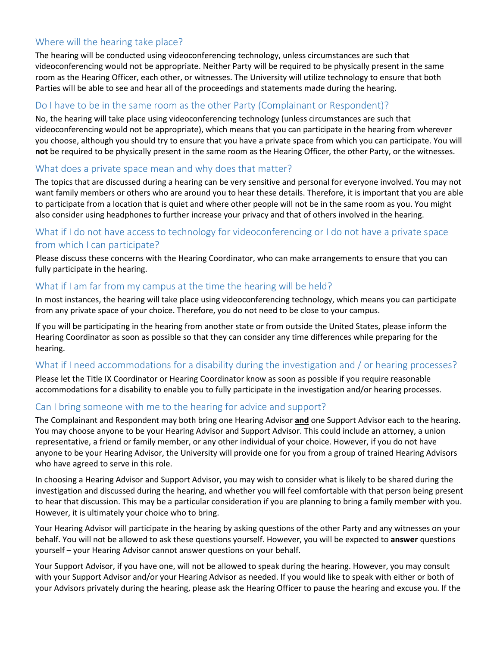## Where will the hearing take place?

The hearing will be conducted using videoconferencing technology, unless circumstances are such that videoconferencing would not be appropriate. Neither Party will be required to be physically present in the same room as the Hearing Officer, each other, or witnesses. The University will utilize technology to ensure that both Parties will be able to see and hear all of the proceedings and statements made during the hearing.

#### Do I have to be in the same room as the other Party (Complainant or Respondent)?

No, the hearing will take place using videoconferencing technology (unless circumstances are such that videoconferencing would not be appropriate), which means that you can participate in the hearing from wherever you choose, although you should try to ensure that you have a private space from which you can participate. You will **not** be required to be physically present in the same room as the Hearing Officer, the other Party, or the witnesses.

#### What does a private space mean and why does that matter?

The topics that are discussed during a hearing can be very sensitive and personal for everyone involved. You may not want family members or others who are around you to hear these details. Therefore, it is important that you are able to participate from a location that is quiet and where other people will not be in the same room as you. You might also consider using headphones to further increase your privacy and that of others involved in the hearing.

## What if I do not have access to technology for videoconferencing or I do not have a private space from which I can participate?

Please discuss these concerns with the Hearing Coordinator, who can make arrangements to ensure that you can fully participate in the hearing.

#### What if I am far from my campus at the time the hearing will be held?

In most instances, the hearing will take place using videoconferencing technology, which means you can participate from any private space of your choice. Therefore, you do not need to be close to your campus.

If you will be participating in the hearing from another state or from outside the United States, please inform the Hearing Coordinator as soon as possible so that they can consider any time differences while preparing for the hearing.

## What if I need accommodations for a disability during the investigation and / or hearing processes?

Please let the Title IX Coordinator or Hearing Coordinator know as soon as possible if you require reasonable accommodations for a disability to enable you to fully participate in the investigation and/or hearing processes.

#### Can I bring someone with me to the hearing for advice and support?

The Complainant and Respondent may both bring one Hearing Advisor **and** one Support Advisor each to the hearing. You may choose anyone to be your Hearing Advisor and Support Advisor. This could include an attorney, a union representative, a friend or family member, or any other individual of your choice. However, if you do not have anyone to be your Hearing Advisor, the University will provide one for you from a group of trained Hearing Advisors who have agreed to serve in this role.

In choosing a Hearing Advisor and Support Advisor, you may wish to consider what is likely to be shared during the investigation and discussed during the hearing, and whether you will feel comfortable with that person being present to hear that discussion. This may be a particular consideration if you are planning to bring a family member with you. However, it is ultimately your choice who to bring.

Your Hearing Advisor will participate in the hearing by asking questions of the other Party and any witnesses on your behalf. You will not be allowed to ask these questions yourself. However, you will be expected to **answer** questions yourself – your Hearing Advisor cannot answer questions on your behalf.

Your Support Advisor, if you have one, will not be allowed to speak during the hearing. However, you may consult with your Support Advisor and/or your Hearing Advisor as needed. If you would like to speak with either or both of your Advisors privately during the hearing, please ask the Hearing Officer to pause the hearing and excuse you. If the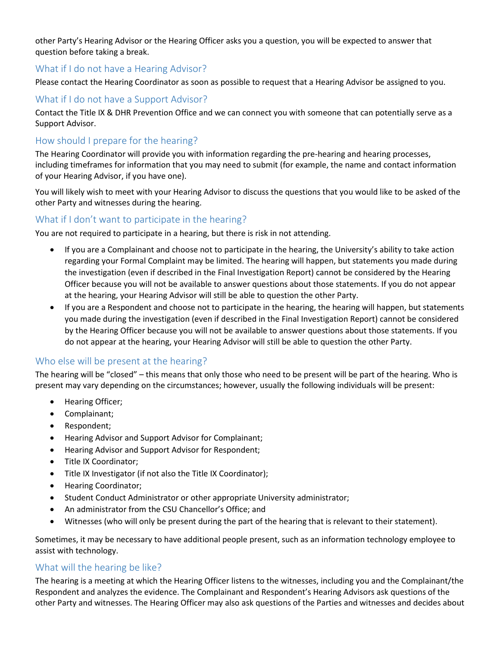other Party's Hearing Advisor or the Hearing Officer asks you a question, you will be expected to answer that question before taking a break.

#### What if I do not have a Hearing Advisor?

Please contact the Hearing Coordinator as soon as possible to request that a Hearing Advisor be assigned to you.

#### What if I do not have a Support Advisor?

Contact the Title IX & DHR Prevention Office and we can connect you with someone that can potentially serve as a Support Advisor.

#### How should I prepare for the hearing?

The Hearing Coordinator will provide you with information regarding the pre-hearing and hearing processes, including timeframes for information that you may need to submit (for example, the name and contact information of your Hearing Advisor, if you have one).

You will likely wish to meet with your Hearing Advisor to discuss the questions that you would like to be asked of the other Party and witnesses during the hearing.

#### What if I don't want to participate in the hearing?

You are not required to participate in a hearing, but there is risk in not attending.

- If you are a Complainant and choose not to participate in the hearing, the University's ability to take action regarding your Formal Complaint may be limited. The hearing will happen, but statements you made during the investigation (even if described in the Final Investigation Report) cannot be considered by the Hearing Officer because you will not be available to answer questions about those statements. If you do not appear at the hearing, your Hearing Advisor will still be able to question the other Party.
- If you are a Respondent and choose not to participate in the hearing, the hearing will happen, but statements you made during the investigation (even if described in the Final Investigation Report) cannot be considered by the Hearing Officer because you will not be available to answer questions about those statements. If you do not appear at the hearing, your Hearing Advisor will still be able to question the other Party.

#### Who else will be present at the hearing?

The hearing will be "closed" – this means that only those who need to be present will be part of the hearing. Who is present may vary depending on the circumstances; however, usually the following individuals will be present:

- Hearing Officer;
- Complainant;
- Respondent;
- Hearing Advisor and Support Advisor for Complainant;
- Hearing Advisor and Support Advisor for Respondent;
- Title IX Coordinator;
- Title IX Investigator (if not also the Title IX Coordinator);
- Hearing Coordinator;
- Student Conduct Administrator or other appropriate University administrator;
- An administrator from the CSU Chancellor's Office; and
- Witnesses (who will only be present during the part of the hearing that is relevant to their statement).

Sometimes, it may be necessary to have additional people present, such as an information technology employee to assist with technology.

#### What will the hearing be like?

The hearing is a meeting at which the Hearing Officer listens to the witnesses, including you and the Complainant/the Respondent and analyzes the evidence. The Complainant and Respondent's Hearing Advisors ask questions of the other Party and witnesses. The Hearing Officer may also ask questions of the Parties and witnesses and decides about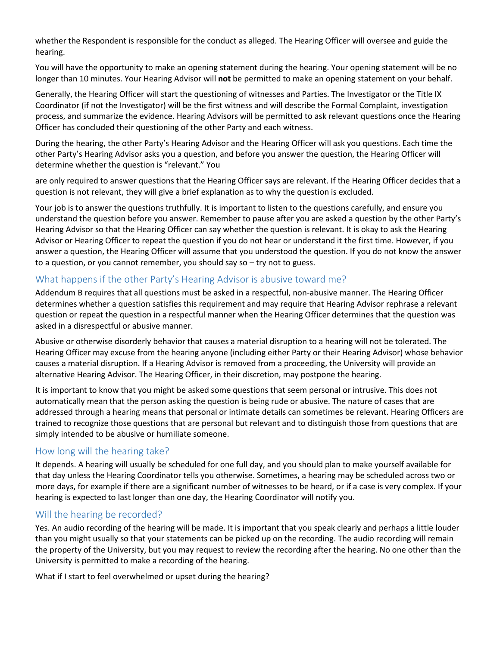whether the Respondent is responsible for the conduct as alleged. The Hearing Officer will oversee and guide the hearing.

You will have the opportunity to make an opening statement during the hearing. Your opening statement will be no longer than 10 minutes. Your Hearing Advisor will **not** be permitted to make an opening statement on your behalf.

Generally, the Hearing Officer will start the questioning of witnesses and Parties. The Investigator or the Title IX Coordinator (if not the Investigator) will be the first witness and will describe the Formal Complaint, investigation process, and summarize the evidence. Hearing Advisors will be permitted to ask relevant questions once the Hearing Officer has concluded their questioning of the other Party and each witness.

During the hearing, the other Party's Hearing Advisor and the Hearing Officer will ask you questions. Each time the other Party's Hearing Advisor asks you a question, and before you answer the question, the Hearing Officer will determine whether the question is "relevant." You

are only required to answer questions that the Hearing Officer says are relevant. If the Hearing Officer decides that a question is not relevant, they will give a brief explanation as to why the question is excluded.

Your job is to answer the questions truthfully. It is important to listen to the questions carefully, and ensure you understand the question before you answer. Remember to pause after you are asked a question by the other Party's Hearing Advisor so that the Hearing Officer can say whether the question is relevant. It is okay to ask the Hearing Advisor or Hearing Officer to repeat the question if you do not hear or understand it the first time. However, if you answer a question, the Hearing Officer will assume that you understood the question. If you do not know the answer to a question, or you cannot remember, you should say so – try not to guess.

#### What happens if the other Party's Hearing Advisor is abusive toward me?

Addendum B requires that all questions must be asked in a respectful, non-abusive manner. The Hearing Officer determines whether a question satisfies this requirement and may require that Hearing Advisor rephrase a relevant question or repeat the question in a respectful manner when the Hearing Officer determines that the question was asked in a disrespectful or abusive manner.

Abusive or otherwise disorderly behavior that causes a material disruption to a hearing will not be tolerated. The Hearing Officer may excuse from the hearing anyone (including either Party or their Hearing Advisor) whose behavior causes a material disruption. If a Hearing Advisor is removed from a proceeding, the University will provide an alternative Hearing Advisor. The Hearing Officer, in their discretion, may postpone the hearing.

It is important to know that you might be asked some questions that seem personal or intrusive. This does not automatically mean that the person asking the question is being rude or abusive. The nature of cases that are addressed through a hearing means that personal or intimate details can sometimes be relevant. Hearing Officers are trained to recognize those questions that are personal but relevant and to distinguish those from questions that are simply intended to be abusive or humiliate someone.

#### How long will the hearing take?

It depends. A hearing will usually be scheduled for one full day, and you should plan to make yourself available for that day unless the Hearing Coordinator tells you otherwise. Sometimes, a hearing may be scheduled across two or more days, for example if there are a significant number of witnesses to be heard, or if a case is very complex. If your hearing is expected to last longer than one day, the Hearing Coordinator will notify you.

#### Will the hearing be recorded?

Yes. An audio recording of the hearing will be made. It is important that you speak clearly and perhaps a little louder than you might usually so that your statements can be picked up on the recording. The audio recording will remain the property of the University, but you may request to review the recording after the hearing. No one other than the University is permitted to make a recording of the hearing.

What if I start to feel overwhelmed or upset during the hearing?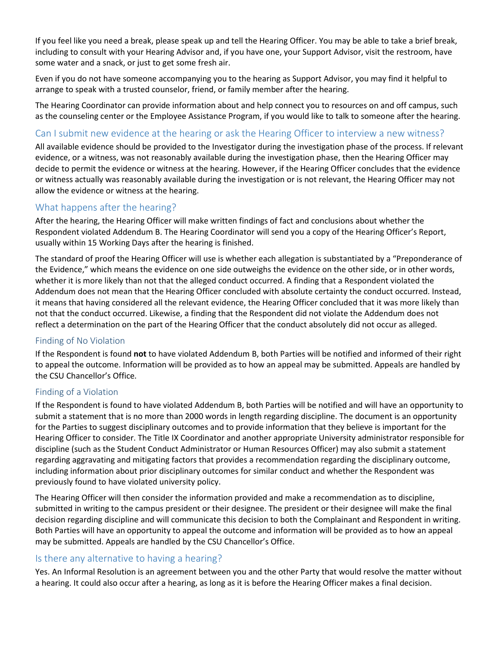If you feel like you need a break, please speak up and tell the Hearing Officer. You may be able to take a brief break, including to consult with your Hearing Advisor and, if you have one, your Support Advisor, visit the restroom, have some water and a snack, or just to get some fresh air.

Even if you do not have someone accompanying you to the hearing as Support Advisor, you may find it helpful to arrange to speak with a trusted counselor, friend, or family member after the hearing.

The Hearing Coordinator can provide information about and help connect you to resources on and off campus, such as the counseling center or the Employee Assistance Program, if you would like to talk to someone after the hearing.

#### Can I submit new evidence at the hearing or ask the Hearing Officer to interview a new witness?

All available evidence should be provided to the Investigator during the investigation phase of the process. If relevant evidence, or a witness, was not reasonably available during the investigation phase, then the Hearing Officer may decide to permit the evidence or witness at the hearing. However, if the Hearing Officer concludes that the evidence or witness actually was reasonably available during the investigation or is not relevant, the Hearing Officer may not allow the evidence or witness at the hearing.

#### What happens after the hearing?

After the hearing, the Hearing Officer will make written findings of fact and conclusions about whether the Respondent violated Addendum B. The Hearing Coordinator will send you a copy of the Hearing Officer's Report, usually within 15 Working Days after the hearing is finished.

The standard of proof the Hearing Officer will use is whether each allegation is substantiated by a "Preponderance of the Evidence," which means the evidence on one side outweighs the evidence on the other side, or in other words, whether it is more likely than not that the alleged conduct occurred. A finding that a Respondent violated the Addendum does not mean that the Hearing Officer concluded with absolute certainty the conduct occurred. Instead, it means that having considered all the relevant evidence, the Hearing Officer concluded that it was more likely than not that the conduct occurred. Likewise, a finding that the Respondent did not violate the Addendum does not reflect a determination on the part of the Hearing Officer that the conduct absolutely did not occur as alleged.

#### Finding of No Violation

If the Respondent is found **not** to have violated Addendum B, both Parties will be notified and informed of their right to appeal the outcome. Information will be provided as to how an appeal may be submitted. Appeals are handled by the CSU Chancellor's Office.

#### Finding of a Violation

If the Respondent is found to have violated Addendum B, both Parties will be notified and will have an opportunity to submit a statement that is no more than 2000 words in length regarding discipline. The document is an opportunity for the Parties to suggest disciplinary outcomes and to provide information that they believe is important for the Hearing Officer to consider. The Title IX Coordinator and another appropriate University administrator responsible for discipline (such as the Student Conduct Administrator or Human Resources Officer) may also submit a statement regarding aggravating and mitigating factors that provides a recommendation regarding the disciplinary outcome, including information about prior disciplinary outcomes for similar conduct and whether the Respondent was previously found to have violated university policy.

The Hearing Officer will then consider the information provided and make a recommendation as to discipline, submitted in writing to the campus president or their designee. The president or their designee will make the final decision regarding discipline and will communicate this decision to both the Complainant and Respondent in writing. Both Parties will have an opportunity to appeal the outcome and information will be provided as to how an appeal may be submitted. Appeals are handled by the CSU Chancellor's Office.

#### Is there any alternative to having a hearing?

Yes. An Informal Resolution is an agreement between you and the other Party that would resolve the matter without a hearing. It could also occur after a hearing, as long as it is before the Hearing Officer makes a final decision.